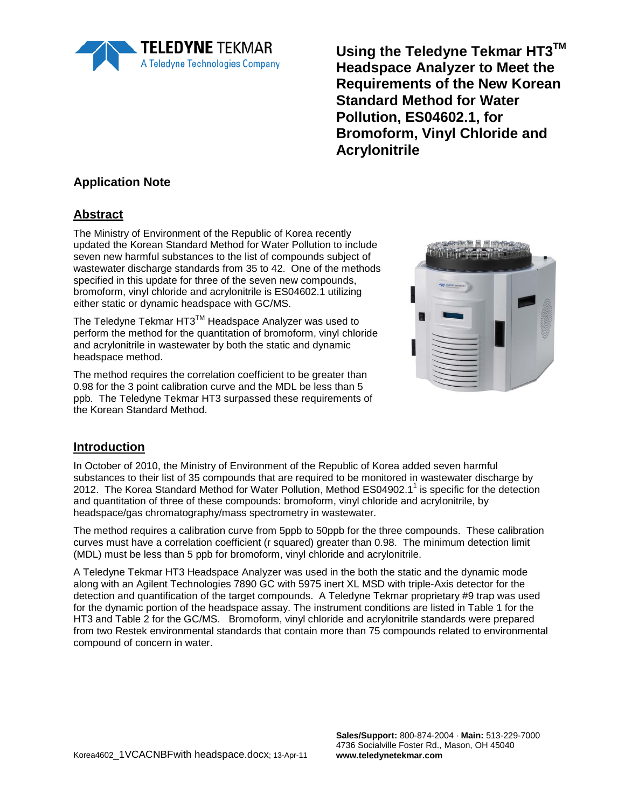

**Using the Teledyne Tekmar HT3TM Headspace Analyzer to Meet the Requirements of the New Korean Standard Method for Water Pollution, ES04602.1, for Bromoform, Vinyl Chloride and Acrylonitrile**

### **Application Note**

## **Abstract**

The Ministry of Environment of the Republic of Korea recently updated the Korean Standard Method for Water Pollution to include seven new harmful substances to the list of compounds subject of wastewater discharge standards from 35 to 42. One of the methods specified in this update for three of the seven new compounds, bromoform, vinyl chloride and acrylonitrile is ES04602.1 utilizing either static or dynamic headspace with GC/MS.

The Teledyne Tekmar HT3™ Headspace Analyzer was used to perform the method for the quantitation of bromoform, vinyl chloride and acrylonitrile in wastewater by both the static and dynamic headspace method.

The method requires the correlation coefficient to be greater than 0.98 for the 3 point calibration curve and the MDL be less than 5 ppb. The Teledyne Tekmar HT3 surpassed these requirements of the Korean Standard Method.



#### **Introduction**

In October of 2010, the Ministry of Environment of the Republic of Korea added seven harmful substances to their list of 35 compounds that are required to be monitored in wastewater discharge by 2012. The Korea Standard Method for Water Pollution, Method ES04902.1<sup>1</sup> is specific for the detection and quantitation of three of these compounds: bromoform, vinyl chloride and acrylonitrile, by headspace/gas chromatography/mass spectrometry in wastewater.

The method requires a calibration curve from 5ppb to 50ppb for the three compounds. These calibration curves must have a correlation coefficient (r squared) greater than 0.98. The minimum detection limit (MDL) must be less than 5 ppb for bromoform, vinyl chloride and acrylonitrile.

A Teledyne Tekmar HT3 Headspace Analyzer was used in the both the static and the dynamic mode along with an Agilent Technologies 7890 GC with 5975 inert XL MSD with triple-Axis detector for the detection and quantification of the target compounds. A Teledyne Tekmar proprietary #9 trap was used for the dynamic portion of the headspace assay. The instrument conditions are listed in Table 1 for the HT3 and Table 2 for the GC/MS. Bromoform, vinyl chloride and acrylonitrile standards were prepared from two Restek environmental standards that contain more than 75 compounds related to environmental compound of concern in water.

**Sales/Support:** 800-874-2004 · **Main:** 513-229-7000 4736 Socialville Foster Rd., Mason, OH 45040 **www.teledynetekmar.com**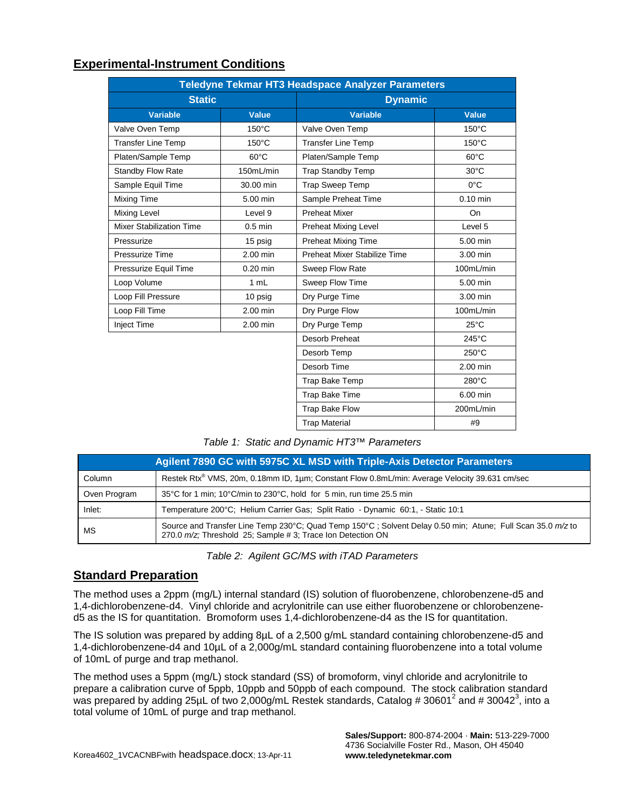#### **Experimental-Instrument Conditions**

| Teledyne Tekmar HT3 Headspace Analyzer Parameters |                 |                                      |                 |  |  |  |  |
|---------------------------------------------------|-----------------|--------------------------------------|-----------------|--|--|--|--|
| <b>Static</b>                                     |                 | <b>Dynamic</b>                       |                 |  |  |  |  |
| <b>Variable</b>                                   | <b>Value</b>    | <b>Variable</b>                      | <b>Value</b>    |  |  |  |  |
| Valve Oven Temp                                   | $150^{\circ}$ C | Valve Oven Temp                      | $150^{\circ}$ C |  |  |  |  |
| <b>Transfer Line Temp</b>                         | $150^{\circ}$ C | <b>Transfer Line Temp</b>            | 150°C           |  |  |  |  |
| Platen/Sample Temp                                | $60^{\circ}$ C  | $60^{\circ}$ C<br>Platen/Sample Temp |                 |  |  |  |  |
| <b>Standby Flow Rate</b>                          | 150mL/min       | <b>Trap Standby Temp</b>             | $30^{\circ}$ C  |  |  |  |  |
| Sample Equil Time                                 | 30.00 min       | <b>Trap Sweep Temp</b>               | $0^{\circ}$ C   |  |  |  |  |
| Mixing Time                                       | 5.00 min        | Sample Preheat Time                  | $0.10$ min      |  |  |  |  |
| <b>Mixing Level</b>                               | Level 9         | <b>Preheat Mixer</b>                 | On              |  |  |  |  |
| <b>Mixer Stabilization Time</b>                   | $0.5$ min       | <b>Preheat Mixing Level</b>          | Level 5         |  |  |  |  |
| Pressurize                                        | 15 psig         | <b>Preheat Mixing Time</b>           | 5.00 min        |  |  |  |  |
| Pressurize Time                                   | 2.00 min        | Preheat Mixer Stabilize Time         | 3.00 min        |  |  |  |  |
| Pressurize Equil Time                             | $0.20$ min      | Sweep Flow Rate                      | 100mL/min       |  |  |  |  |
| Loop Volume                                       | 1 mL            | Sweep Flow Time                      | 5.00 min        |  |  |  |  |
| Loop Fill Pressure                                | 10 psig         | Dry Purge Time<br>3.00 min           |                 |  |  |  |  |
| Loop Fill Time                                    | $2.00$ min      | Dry Purge Flow                       | 100mL/min       |  |  |  |  |
| <b>Inject Time</b>                                | 2.00 min        | Dry Purge Temp                       | $25^{\circ}$ C  |  |  |  |  |
|                                                   |                 | Desorb Preheat                       | 245°C           |  |  |  |  |
|                                                   |                 | Desorb Temp                          | $250^{\circ}$ C |  |  |  |  |
|                                                   |                 | Desorb Time                          | 2.00 min        |  |  |  |  |
|                                                   |                 | Trap Bake Temp                       | 280°C           |  |  |  |  |
|                                                   |                 | Trap Bake Time                       | 6.00 min        |  |  |  |  |
|                                                   |                 | Trap Bake Flow                       | 200mL/min       |  |  |  |  |
|                                                   |                 | <b>Trap Material</b>                 | #9              |  |  |  |  |

*Table 1: Static and Dynamic HT3™ Parameters* 

| Agilent 7890 GC with 5975C XL MSD with Triple-Axis Detector Parameters |                                                                                                                                                                          |  |  |  |
|------------------------------------------------------------------------|--------------------------------------------------------------------------------------------------------------------------------------------------------------------------|--|--|--|
| Column                                                                 | Restek Rtx® VMS, 20m, 0.18mm ID, 1µm; Constant Flow 0.8mL/min: Average Velocity 39.631 cm/sec                                                                            |  |  |  |
| Oven Program                                                           | 35°C for 1 min; 10°C/min to 230°C, hold for 5 min, run time 25.5 min                                                                                                     |  |  |  |
| Inlet:                                                                 | Temperature 200°C; Helium Carrier Gas; Split Ratio - Dynamic 60:1, - Static 10:1                                                                                         |  |  |  |
| МS                                                                     | Source and Transfer Line Temp 230°C; Quad Temp 150°C; Solvent Delay 0.50 min; Atune; Full Scan 35.0 m/z to<br>270.0 m/z; Threshold 25; Sample #3; Trace Ion Detection ON |  |  |  |

*Table 2: Agilent GC/MS with iTAD Parameters* 

#### **Standard Preparation**

The method uses a 2ppm (mg/L) internal standard (IS) solution of fluorobenzene, chlorobenzene-d5 and 1,4-dichlorobenzene-d4. Vinyl chloride and acrylonitrile can use either fluorobenzene or chlorobenzened5 as the IS for quantitation. Bromoform uses 1,4-dichlorobenzene-d4 as the IS for quantitation.

The IS solution was prepared by adding 8µL of a 2,500 g/mL standard containing chlorobenzene-d5 and 1,4-dichlorobenzene-d4 and 10µL of a 2,000g/mL standard containing fluorobenzene into a total volume of 10mL of purge and trap methanol.

The method uses a 5ppm (mg/L) stock standard (SS) of bromoform, vinyl chloride and acrylonitrile to prepare a calibration curve of 5ppb, 10ppb and 50ppb of each compound. The stock calibration standard was prepared by adding 25µL of two 2,000g/mL Restek standards, Catalog # 30601<sup>2</sup> and # 30042<sup>3</sup>, into a total volume of 10mL of purge and trap methanol.

> **Sales/Support:** 800-874-2004 · **Main:** 513-229-7000 4736 Socialville Foster Rd., Mason, OH 45040 **www.teledynetekmar.com**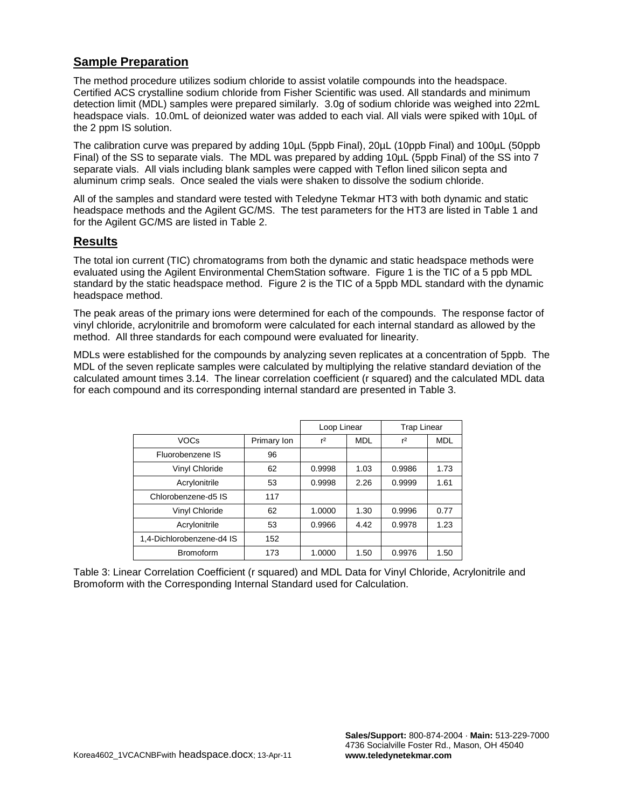## **Sample Preparation**

The method procedure utilizes sodium chloride to assist volatile compounds into the headspace. Certified ACS crystalline sodium chloride from Fisher Scientific was used. All standards and minimum detection limit (MDL) samples were prepared similarly. 3.0g of sodium chloride was weighed into 22mL headspace vials. 10.0mL of deionized water was added to each vial. All vials were spiked with 10µL of the 2 ppm IS solution.

The calibration curve was prepared by adding 10µL (5ppb Final), 20µL (10ppb Final) and 100µL (50ppb Final) of the SS to separate vials. The MDL was prepared by adding 10µL (5ppb Final) of the SS into 7 separate vials. All vials including blank samples were capped with Teflon lined silicon septa and aluminum crimp seals. Once sealed the vials were shaken to dissolve the sodium chloride.

All of the samples and standard were tested with Teledyne Tekmar HT3 with both dynamic and static headspace methods and the Agilent GC/MS. The test parameters for the HT3 are listed in Table 1 and for the Agilent GC/MS are listed in Table 2.

#### **Results**

The total ion current (TIC) chromatograms from both the dynamic and static headspace methods were evaluated using the Agilent Environmental ChemStation software. Figure 1 is the TIC of a 5 ppb MDL standard by the static headspace method. Figure 2 is the TIC of a 5ppb MDL standard with the dynamic headspace method.

The peak areas of the primary ions were determined for each of the compounds. The response factor of vinyl chloride, acrylonitrile and bromoform were calculated for each internal standard as allowed by the method. All three standards for each compound were evaluated for linearity.

MDLs were established for the compounds by analyzing seven replicates at a concentration of 5ppb. The MDL of the seven replicate samples were calculated by multiplying the relative standard deviation of the calculated amount times 3.14. The linear correlation coefficient (r squared) and the calculated MDL data for each compound and its corresponding internal standard are presented in Table 3.

|                           |             | Loop Linear |            | <b>Trap Linear</b> |            |
|---------------------------|-------------|-------------|------------|--------------------|------------|
| <b>VOCs</b>               | Primary Ion | $r^2$       | <b>MDL</b> | $r^2$              | <b>MDL</b> |
| Fluorobenzene IS          | 96          |             |            |                    |            |
| Vinyl Chloride            | 62          | 0.9998      | 1.03       | 0.9986             | 1.73       |
| Acrylonitrile             | 53          | 0.9998      | 2.26       | 0.9999             | 1.61       |
| Chlorobenzene-d5 IS       | 117         |             |            |                    |            |
| Vinyl Chloride            | 62          | 1.0000      | 1.30       | 0.9996             | 0.77       |
| Acrylonitrile             | 53          | 0.9966      | 4.42       | 0.9978             | 1.23       |
| 1,4-Dichlorobenzene-d4 IS | 152         |             |            |                    |            |
| <b>Bromoform</b>          | 173         | 1.0000      | 1.50       | 0.9976             | 1.50       |

Table 3: Linear Correlation Coefficient (r squared) and MDL Data for Vinyl Chloride, Acrylonitrile and Bromoform with the Corresponding Internal Standard used for Calculation.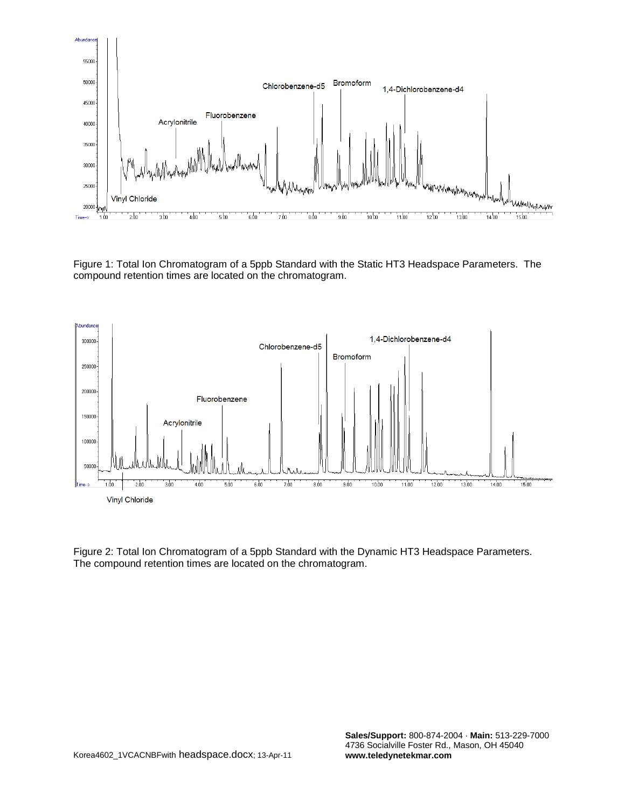

Figure 1: Total Ion Chromatogram of a 5ppb Standard with the Static HT3 Headspace Parameters. The compound retention times are located on the chromatogram.



Figure 2: Total Ion Chromatogram of a 5ppb Standard with the Dynamic HT3 Headspace Parameters. The compound retention times are located on the chromatogram.